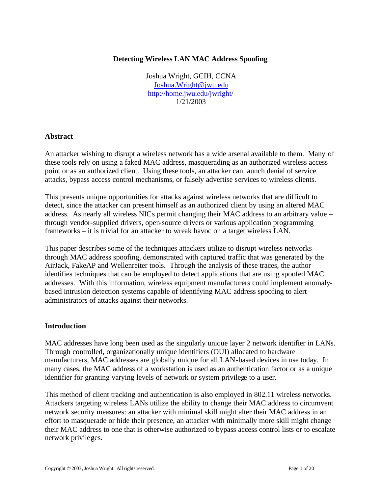# **Detecting Wireless LAN MAC Address Spoofing**

Joshua Wright, GCIH, CCNA Joshua.Wright@jwu.edu http://home.jwu.edu/jwright/ 1/21/2003

#### **Abstract**

An attacker wishing to disrupt a wireless network has a wide arsenal available to them. Many of these tools rely on using a faked MAC address, masquerading as an authorized wireless access point or as an authorized client. Using these tools, an attacker can launch denial of service attacks, bypass access control mechanisms, or falsely advertise services to wireless clients.

This presents unique opportunities for attacks against wireless networks that are difficult to detect, since the attacker can present himself as an authorized client by using an altered MAC address. As nearly all wireless NICs permit changing their MAC address to an arbitrary value – through vendor-supplied drivers, open-source drivers or various application programming frameworks – it is trivial for an attacker to wreak havoc on a target wireless LAN.

This paper describes some of the techniques attackers utilize to disrupt wireless networks through MAC address spoofing, demonstrated with captured traffic that was generated by the AirJack, FakeAP and Wellenreiter tools. Through the analysis of these traces, the author identifies techniques that can be employed to detect applications that are using spoofed MAC addresses. With this information, wireless equipment manufacturers could implement anomalybased intrusion detection systems capable of identifying MAC address spoofing to alert administrators of attacks against their networks.

## **Introduction**

MAC addresses have long been used as the singularly unique layer 2 network identifier in LANs. Through controlled, organizationally unique identifiers (OUI) allocated to hardware manufacturers, MAC addresses are globally unique for all LAN-based devices in use today. In many cases, the MAC address of a workstation is used as an authentication factor or as a unique identifier for granting varying levels of network or system privilege to a user.

This method of client tracking and authentication is also employed in 802.11 wireless networks. Attackers targeting wireless LANs utilize the ability to change their MAC address to circumvent network security measures: an attacker with minimal skill might alter their MAC address in an effort to masquerade or hide their presence, an attacker with minimally more skill might change their MAC address to one that is otherwise authorized to bypass access control lists or to escalate network privileges.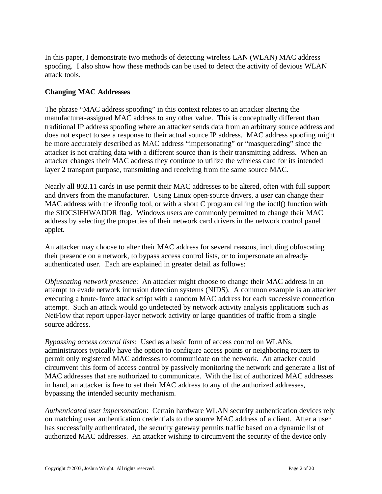In this paper, I demonstrate two methods of detecting wireless LAN (WLAN) MAC address spoofing. I also show how these methods can be used to detect the activity of devious WLAN attack tools.

# **Changing MAC Addresses**

The phrase "MAC address spoofing" in this context relates to an attacker altering the manufacturer-assigned MAC address to any other value. This is conceptually different than traditional IP address spoofing where an attacker sends data from an arbitrary source address and does not expect to see a response to their actual source IP address. MAC address spoofing might be more accurately described as MAC address "impersonating" or "masquerading" since the attacker is not crafting data with a different source than is their transmitting address. When an attacker changes their MAC address they continue to utilize the wireless card for its intended layer 2 transport purpose, transmitting and receiving from the same source MAC.

Nearly all 802.11 cards in use permit their MAC addresses to be altered, often with full support and drivers from the manufacturer. Using Linux open-source drivers, a user can change their MAC address with the ifconfig tool, or with a short C program calling the ioctl() function with the SIOCSIFHWADDR flag. Windows users are commonly permitted to change their MAC address by selecting the properties of their network card drivers in the network control panel applet.

An attacker may choose to alter their MAC address for several reasons, including obfuscating their presence on a network, to bypass access control lists, or to impersonate an alreadyauthenticated user. Each are explained in greater detail as follows:

*Obfuscating network presence*: An attacker might choose to change their MAC address in an attempt to evade network intrusion detection systems (NIDS). A common example is an attacker executing a brute-force attack script with a random MAC address for each successive connection attempt. Such an attack would go undetected by network activity analysis applications such as NetFlow that report upper-layer network activity or large quantities of traffic from a single source address.

*Bypassing access control lists*: Used as a basic form of access control on WLANs, administrators typically have the option to configure access points or neighboring routers to permit only registered MAC addresses to communicate on the network. An attacker could circumvent this form of access control by passively monitoring the network and generate a list of MAC addresses that are authorized to communicate. With the list of authorized MAC addresses in hand, an attacker is free to set their MAC address to any of the authorized addresses, bypassing the intended security mechanism.

*Authenticated user impersonation*: Certain hardware WLAN security authentication devices rely on matching user authentication credentials to the source MAC address of a client. After a user has successfully authenticated, the security gateway permits traffic based on a dynamic list of authorized MAC addresses. An attacker wishing to circumvent the security of the device only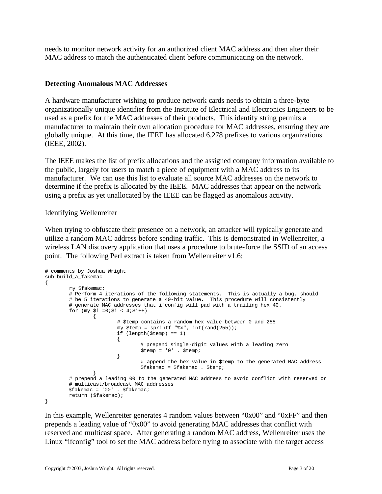needs to monitor network activity for an authorized client MAC address and then alter their MAC address to match the authenticated client before communicating on the network.

# **Detecting Anomalous MAC Addresses**

A hardware manufacturer wishing to produce network cards needs to obtain a three-byte organizationally unique identifier from the Institute of Electrical and Electronics Engineers to be used as a prefix for the MAC addresses of their products. This identify string permits a manufacturer to maintain their own allocation procedure for MAC addresses, ensuring they are globally unique. At this time, the IEEE has allocated 6,278 prefixes to various organizations (IEEE, 2002).

The IEEE makes the list of prefix allocations and the assigned company information available to the public, largely for users to match a piece of equipment with a MAC address to its manufacturer. We can use this list to evaluate all source MAC addresses on the network to determine if the prefix is allocated by the IEEE. MAC addresses that appear on the network using a prefix as yet unallocated by the IEEE can be flagged as anomalous activity.

## Identifying Wellenreiter

When trying to obfuscate their presence on a network, an attacker will typically generate and utilize a random MAC address before sending traffic. This is demonstrated in Wellenreiter, a wireless LAN discovery application that uses a procedure to brute-force the SSID of an access point. The following Perl extract is taken from Wellenreiter v1.6:

```
# comments by Joshua Wright
sub build_a_fakemac
{
        my $fakemac;
        # Perform 4 iterations of the following statements. This is actually a bug, should
        # be 5 iterations to generate a 40-bit value. This procedure will consistently
        # generate MAC addresses that ifconfig will pad with a trailing hex 40.
       for (my $i = 0;$i < 4;$i++)
\{ # $temp contains a random hex value between 0 and 255
                      my $temp = sprintf "x", int(rand(255));
                       if (length($temp) == 1)
\{ # prepend single-digit values with a leading zero
                      $temp = '0' . $temp;<br>}
 }
                              # append the hex value in $temp to the generated MAC address 
                              $fakemac = $fakemac . $temp;
 }
        # prepend a leading 00 to the generated MAC address to avoid conflict with reserved or
        # multicast/broadcast MAC addresses
        $fakemac = '00' . $fakemac;
        return ($fakemac);
}
```
In this example, Wellenreiter generates 4 random values between "0x00" and "0xFF" and then prepends a leading value of "0x00" to avoid generating MAC addresses that conflict with reserved and multicast space. After generating a random MAC address, Wellenreiter uses the Linux "ifconfig" tool to set the MAC address before trying to associate with the target access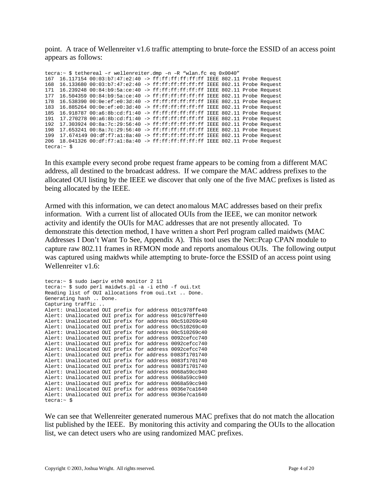point. A trace of Wellenreiter v1.6 traffic attempting to brute-force the ESSID of an access point appears as follows:

tecra:~ \$ tethereal –r wellenreiter.dmp –n –R "wlan.fc eq 0x0040" 167 16.117154 00:03:b7:47:e2:40 -> ff:ff:ff:ff:ff:ff IEEE 802.11 Probe Request 168 16.133680 00:03:b7:47:e2:40 -> ff:ff:ff:ff:ff:ff IEEE 802.11 Probe Request 171 16.239248 00:84:b9:5a:ce:40 -> ff:ff:ff:ff:ff:ff IEEE 802.11 Probe Request 177 16.504359 00:84:b9:5a:ce:40 -> ff:ff:ff:ff:ff:ff IEEE 802.11 Probe Request 178 16.538390 00:0e:ef:e0:3d:40 -> ff:ff:ff:ff:ff:ff IEEE 802.11 Probe Request 183 16.885264 00:0e:ef:e0:3d:40 -> ff:ff:ff:ff:ff:ff IEEE 802.11 Probe Request 185 16.918787 00:a6:8b:cd:f1:40 -> ff:ff:ff:ff:ff:ff IEEE 802.11 Probe Request 191 17.270278 00:a6:8b:cd:f1:40 -> ff:ff:ff:ff:ff:ff IEEE 802.11 Probe Request 192 17.303924 00:8a:7c:29:56:40 -> ff:ff:ff:ff:ff:ff IEEE 802.11 Probe Request 198 17.653241 00:8a:7c:29:56:40 -> ff:ff:ff:ff:ff:ff IEEE 802.11 Probe Request 199 17.674149 00:df:f7:a1:8a:40 -> ff:ff:ff:ff:ff:ff IEEE 802.11 Probe Request 206 18.041326 00:df:f7:a1:8a:40 -> ff:ff:ff:ff:ff:ff IEEE 802.11 Probe Request tecra:~ \$

In this example every second probe request frame appears to be coming from a different MAC address, all destined to the broadcast address. If we compare the MAC address prefixes to the allocated OUI listing by the IEEE we discover that only one of the five MAC prefixes is listed as being allocated by the IEEE.

Armed with this information, we can detect anomalous MAC addresses based on their prefix information. With a current list of allocated OUIs from the IEEE, we can monitor network activity and identify the OUIs for MAC addresses that are not presently allocated. To demonstrate this detection method, I have written a short Perl program called maidwts (MAC Addresses I Don't Want To See, Appendix A). This tool uses the Net::Pcap CPAN module to capture raw 802.11 frames in RFMON mode and reports anomalous OUIs. The following output was captured using maidwts while attempting to brute-force the ESSID of an access point using Wellenreiter v1.6:

```
tecra:~ $ sudo iwpriv eth0 monitor 2 11
tecra:~ $ sudo perl maidwts.pl -a -i eth0 -f oui.txt
Reading list of OUI allocations from oui.txt .. Done.
Generating hash .. Done.
Capturing traffic ..
Alert: Unallocated OUI prefix for address 001c978ffe40
Alert: Unallocated OUI prefix for address 001c978ffe40
Alert: Unallocated OUI prefix for address 00c510269c40
Alert: Unallocated OUI prefix for address 00c510269c40
Alert: Unallocated OUI prefix for address 00c510269c40
Alert: Unallocated OUI prefix for address 0092cefcc740
Alert: Unallocated OUI prefix for address 0092cefcc740
Alert: Unallocated OUI prefix for address 0092cefcc740
Alert: Unallocated OUI prefix for address 0083f1701740
Alert: Unallocated OUI prefix for address 0083f1701740
Alert: Unallocated OUI prefix for address 0083f1701740
Alert: Unallocated OUI prefix for address 0068a59cc940
Alert: Unallocated OUI prefix for address 0068a59cc940
Alert: Unallocated OUI prefix for address 0068a59cc940
Alert: Unallocated OUI prefix for address 0036e7ca1640
Alert: Unallocated OUI prefix for address 0036e7ca1640
tecra:~ $
```
We can see that Wellenreiter generated numerous MAC prefixes that do not match the allocation list published by the IEEE. By monitoring this activity and comparing the OUIs to the allocation list, we can detect users who are using randomized MAC prefixes.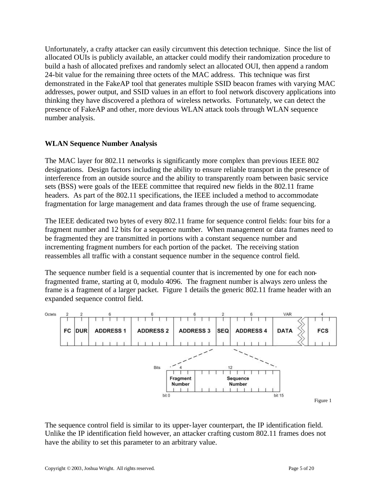Unfortunately, a crafty attacker can easily circumvent this detection technique. Since the list of allocated OUIs is publicly available, an attacker could modify their randomization procedure to build a hash of allocated prefixes and randomly select an allocated OUI, then append a random 24-bit value for the remaining three octets of the MAC address. This technique was first demonstrated in the FakeAP tool that generates multiple SSID beacon frames with varying MAC addresses, power output, and SSID values in an effort to fool network discovery applications into thinking they have discovered a plethora of wireless networks. Fortunately, we can detect the presence of FakeAP and other, more devious WLAN attack tools through WLAN sequence number analysis.

# **WLAN Sequence Number Analysis**

The MAC layer for 802.11 networks is significantly more complex than previous IEEE 802 designations. Design factors including the ability to ensure reliable transport in the presence of interference from an outside source and the ability to transparently roam between basic service sets (BSS) were goals of the IEEE committee that required new fields in the 802.11 frame headers. As part of the 802.11 specifications, the IEEE included a method to accommodate fragmentation for large management and data frames through the use of frame sequencing.

The IEEE dedicated two bytes of every 802.11 frame for sequence control fields: four bits for a fragment number and 12 bits for a sequence number. When management or data frames need to be fragmented they are transmitted in portions with a constant sequence number and incrementing fragment numbers for each portion of the packet. The receiving station reassembles all traffic with a constant sequence number in the sequence control field.

The sequence number field is a sequential counter that is incremented by one for each nonfragmented frame, starting at 0, modulo 4096. The fragment number is always zero unless the frame is a fragment of a larger packet. Figure 1 details the generic 802.11 frame header with an expanded sequence control field.



The sequence control field is similar to its upper-layer counterpart, the IP identification field. Unlike the IP identification field however, an attacker crafting custom 802.11 frames does not have the ability to set this parameter to an arbitrary value.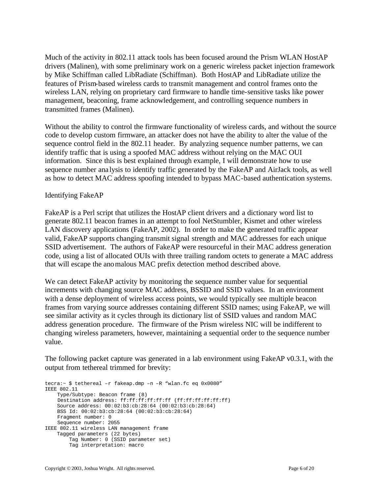Much of the activity in 802.11 attack tools has been focused around the Prism WLAN HostAP drivers (Malinen), with some preliminary work on a generic wireless packet injection framework by Mike Schiffman called LibRadiate (Schiffman). Both HostAP and LibRadiate utilize the features of Prism-based wireless cards to transmit management and control frames onto the wireless LAN, relying on proprietary card firmware to handle time-sensitive tasks like power management, beaconing, frame acknowledgement, and controlling sequence numbers in transmitted frames (Malinen).

Without the ability to control the firmware functionality of wireless cards, and without the source code to develop custom firmware, an attacker does not have the ability to alter the value of the sequence control field in the 802.11 header. By analyzing sequence number patterns, we can identify traffic that is using a spoofed MAC address without relying on the MAC OUI information. Since this is best explained through example, I will demonstrate how to use sequence number ana lysis to identify traffic generated by the FakeAP and AirJack tools, as well as how to detect MAC address spoofing intended to bypass MAC-based authentication systems.

## Identifying FakeAP

FakeAP is a Perl script that utilizes the HostAP client drivers and a dictionary word list to generate 802.11 beacon frames in an attempt to fool NetStumbler, Kismet and other wireless LAN discovery applications (FakeAP, 2002). In order to make the generated traffic appear valid, FakeAP supports changing transmit signal strength and MAC addresses for each unique SSID advertisement. The authors of FakeAP were resourceful in their MAC address generation code, using a list of allocated OUIs with three trailing random octets to generate a MAC address that will escape the anomalous MAC prefix detection method described above.

We can detect FakeAP activity by monitoring the sequence number value for sequential increments with changing source MAC address, BSSID and SSID values. In an environment with a dense deployment of wireless access points, we would typically see multiple beacon frames from varying source addresses containing different SSID names; using FakeAP, we will see similar activity as it cycles through its dictionary list of SSID values and random MAC address generation procedure. The firmware of the Prism wireless NIC will be indifferent to changing wireless parameters, however, maintaining a sequential order to the sequence number value.

The following packet capture was generated in a lab environment using FakeAP v0.3.1, with the output from tethereal trimmed for brevity:

tecra:~ \$ tethereal –r fakeap.dmp –n –R "wlan.fc eq 0x0080" IEEE 802.11 Type/Subtype: Beacon frame (8) Destination address: ff:ff:ff:ff:ff:ff (ff:ff:ff:ff:ff:ff) Source address: 00:02:b3:cb:28:64 (00:02:b3:cb:28:64) BSS Id: 00:02:b3:cb:28:64 (00:02:b3:cb:28:64) Fragment number: 0 Sequence number: 2055 IEEE 802.11 wireless LAN management frame Tagged parameters (22 bytes) Tag Number: 0 (SSID parameter set) Tag interpretation: macro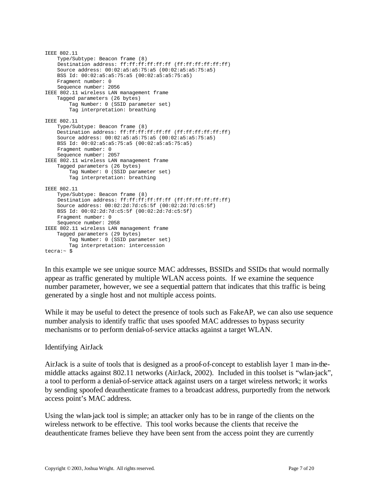```
IEEE 802.11
    Type/Subtype: Beacon frame (8)
     Destination address: ff:ff:ff:ff:ff:ff (ff:ff:ff:ff:ff:ff)
     Source address: 00:02:a5:a5:75:a5 (00:02:a5:a5:75:a5)
     BSS Id: 00:02:a5:a5:75:a5 (00:02:a5:a5:75:a5)
    Fragment number: 0
    Sequence number: 2056
IEEE 802.11 wireless LAN management frame
     Tagged parameters (26 bytes)
         Tag Number: 0 (SSID parameter set)
         Tag interpretation: breathing
IEEE 802.11
     Type/Subtype: Beacon frame (8)
     Destination address: ff:ff:ff:ff:ff:ff (ff:ff:ff:ff:ff:ff)
     Source address: 00:02:a5:a5:75:a5 (00:02:a5:a5:75:a5)
    BSS Id: 00:02:a5:a5:75:a5 (00:02:a5:a5:75:a5)
    Fragment number: 0
     Sequence number: 2057
IEEE 802.11 wireless LAN management frame
     Tagged parameters (26 bytes)
         Tag Number: 0 (SSID parameter set)
         Tag interpretation: breathing
IEEE 802.11
     Type/Subtype: Beacon frame (8)
    Destination address: ff:ff:ff:ff:ff:ff (ff:ff:ff:ff:ff:ff)
     Source address: 00:02:2d:7d:c5:5f (00:02:2d:7d:c5:5f)
    BSS Id: 00:02:2d:7d:c5:5f (00:02:2d:7d:c5:5f)
     Fragment number: 0
    Sequence number: 2058
IEEE 802.11 wireless LAN management frame
     Tagged parameters (29 bytes)
         Tag Number: 0 (SSID parameter set)
         Tag interpretation: intercession
tecra:~ $
```
In this example we see unique source MAC addresses, BSSIDs and SSIDs that would normally appear as traffic generated by multiple WLAN access points. If we examine the sequence number parameter, however, we see a sequential pattern that indicates that this traffic is being generated by a single host and not multiple access points.

While it may be useful to detect the presence of tools such as FakeAP, we can also use sequence number analysis to identify traffic that uses spoofed MAC addresses to bypass security mechanisms or to perform denial-of-service attacks against a target WLAN.

## Identifying AirJack

AirJack is a suite of tools that is designed as a proof-of-concept to establish layer 1 man-in-themiddle attacks against 802.11 networks (AirJack, 2002). Included in this toolset is "wlan-jack", a tool to perform a denial-of-service attack against users on a target wireless network; it works by sending spoofed deauthenticate frames to a broadcast address, purportedly from the network access point's MAC address.

Using the wlan-jack tool is simple; an attacker only has to be in range of the clients on the wireless network to be effective. This tool works because the clients that receive the deauthenticate frames believe they have been sent from the access point they are currently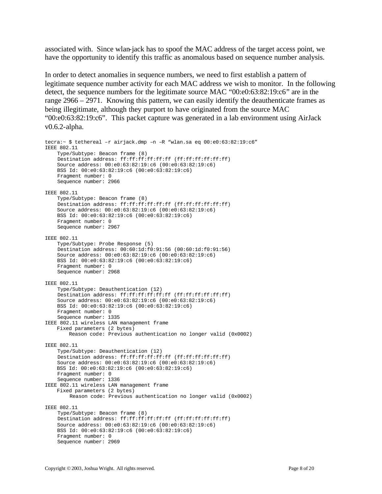associated with. Since wlan-jack has to spoof the MAC address of the target access point, we have the opportunity to identify this traffic as anomalous based on sequence number analysis.

In order to detect anomalies in sequence numbers, we need to first establish a pattern of legitimate sequence number activity for each MAC address we wish to monitor. In the following detect, the sequence numbers for the legitimate source MAC "00:e0:63:82:19:c6" are in the range 2966 – 2971. Knowing this pattern, we can easily identify the deauthenticate frames as being illegitimate, although they purport to have originated from the source MAC "00:e0:63:82:19:c6". This packet capture was generated in a lab environment using AirJack v0.6.2-alpha.

```
tecra:~ $ tethereal –r airjack.dmp –n –R "wlan.sa eq 00:e0:63:82:19:c6" 
IEEE 802.11
     Type/Subtype: Beacon frame (8)
     Destination address: ff:ff:ff:ff:ff:ff (ff:ff:ff:ff:ff:ff)
     Source address: 00:e0:63:82:19:c6 (00:e0:63:82:19:c6)
     BSS Id: 00:e0:63:82:19:c6 (00:e0:63:82:19:c6)
     Fragment number: 0
     Sequence number: 2966
IEEE 802.11
    Type/Subtype: Beacon frame (8)
     Destination address: ff:ff:ff:ff:ff:ff (ff:ff:ff:ff:ff:ff)
     Source address: 00:e0:63:82:19:c6 (00:e0:63:82:19:c6)
     BSS Id: 00:e0:63:82:19:c6 (00:e0:63:82:19:c6)
     Fragment number: 0
    Sequence number: 2967
IEEE 802.11
    Type/Subtype: Probe Response (5)
     Destination address: 00:60:1d:f0:91:56 (00:60:1d:f0:91:56)
     Source address: 00:e0:63:82:19:c6 (00:e0:63:82:19:c6)
     BSS Id: 00:e0:63:82:19:c6 (00:e0:63:82:19:c6)
     Fragment number: 0
     Sequence number: 2968
IEEE 802.11
     Type/Subtype: Deauthentication (12)
     Destination address: ff:ff:ff:ff:ff:ff (ff:ff:ff:ff:ff:ff)
     Source address: 00:e0:63:82:19:c6 (00:e0:63:82:19:c6)
     BSS Id: 00:e0:63:82:19:c6 (00:e0:63:82:19:c6)
     Fragment number: 0
     Sequence number: 1335
IEEE 802.11 wireless LAN management frame
    Fixed parameters (2 bytes)
         Reason code: Previous authentication no longer valid (0x0002)
IEEE 802.11
     Type/Subtype: Deauthentication (12)
     Destination address: ff:ff:ff:ff:ff:ff (ff:ff:ff:ff:ff:ff)
     Source address: 00:e0:63:82:19:c6 (00:e0:63:82:19:c6)
    BSS Id: 00:e0:63:82:19:c6 (00:e0:63:82:19:c6)
    Fragment number: 0
     Sequence number: 1336
IEEE 802.11 wireless LAN management frame
    Fixed parameters (2 bytes)
         Reason code: Previous authentication no longer valid (0x0002)
IEEE 802.11
     Type/Subtype: Beacon frame (8)
     Destination address: ff:ff:ff:ff:ff:ff (ff:ff:ff:ff:ff:ff)
     Source address: 00:e0:63:82:19:c6 (00:e0:63:82:19:c6)
     BSS Id: 00:e0:63:82:19:c6 (00:e0:63:82:19:c6)
     Fragment number: 0
     Sequence number: 2969
```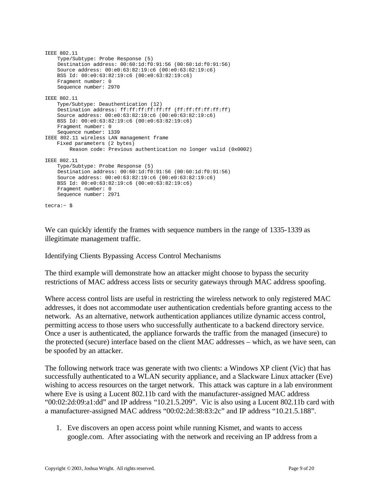```
IEEE 802.11
    Type/Subtype: Probe Response (5)
     Destination address: 00:60:1d:f0:91:56 (00:60:1d:f0:91:56)
     Source address: 00:e0:63:82:19:c6 (00:e0:63:82:19:c6)
     BSS Id: 00:e0:63:82:19:c6 (00:e0:63:82:19:c6)
     Fragment number: 0
     Sequence number: 2970
IEEE 802.11
    Type/Subtype: Deauthentication (12)
    Destination address: ff:ff:ff:ff:ff:ff (ff:ff:ff:ff:ff:ff)
     Source address: 00:e0:63:82:19:c6 (00:e0:63:82:19:c6)
    BSS Id: 00:e0:63:82:19:c6 (00:e0:63:82:19:c6)
     Fragment number: 0
     Sequence number: 1339
IEEE 802.11 wireless LAN management frame
    Fixed parameters (2 bytes)
         Reason code: Previous authentication no longer valid (0x0002)
IEEE 802.11
     Type/Subtype: Probe Response (5)
     Destination address: 00:60:1d:f0:91:56 (00:60:1d:f0:91:56)
     Source address: 00:e0:63:82:19:c6 (00:e0:63:82:19:c6)
     BSS Id: 00:e0:63:82:19:c6 (00:e0:63:82:19:c6)
     Fragment number: 0
    Sequence number: 2971
tecra:~ $
```
We can quickly identify the frames with sequence numbers in the range of 1335-1339 as illegitimate management traffic.

Identifying Clients Bypassing Access Control Mechanisms

The third example will demonstrate how an attacker might choose to bypass the security restrictions of MAC address access lists or security gateways through MAC address spoofing.

Where access control lists are useful in restricting the wireless network to only registered MAC addresses, it does not accommodate user authentication credentials before granting access to the network. As an alternative, network authentication appliances utilize dynamic access control, permitting access to those users who successfully authenticate to a backend directory service. Once a user is authenticated, the appliance forwards the traffic from the managed (insecure) to the protected (secure) interface based on the client MAC addresses – which, as we have seen, can be spoofed by an attacker.

The following network trace was generate with two clients: a Windows XP client (Vic) that has successfully authenticated to a WLAN security appliance, and a Slackware Linux attacker (Eve) wishing to access resources on the target network. This attack was capture in a lab environment where Eve is using a Lucent 802.11b card with the manufacturer-assigned MAC address "00:02:2d:09:a1:dd" and IP address "10.21.5.209". Vic is also using a Lucent 802.11b card with a manufacturer-assigned MAC address "00:02:2d:38:83:2c" and IP address "10.21.5.188".

1. Eve discovers an open access point while running Kismet, and wants to access google.com. After associating with the network and receiving an IP address from a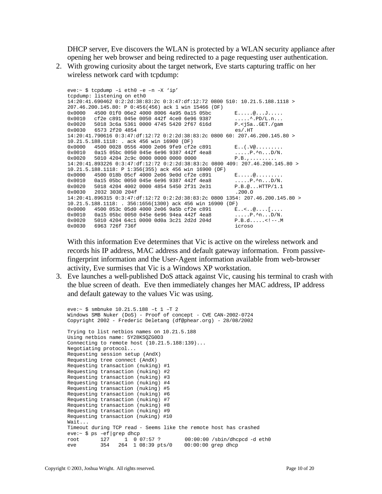DHCP server, Eve discovers the WLAN is protected by a WLAN security appliance after opening her web browser and being redirected to a page requesting user authentication.

2. With growing curiosity about the target network, Eve starts capturing traffic on her wireless network card with tcpdump:

```
eve:~ $ tcpdump –i eth0 –e –n –X 'ip'
tcpdump: listening on eth0
14:20:41.690462 0:2:2d:38:83:2c 0:3:47:df:12:72 0800 510: 10.21.5.188.1118 > 
207.46.200.145.80: P 0:456(456) ack 1 win 15466 (DF)
0x0000 4500 01f0 06e2 4000 8006 4a95 0a15 05bc E.....@...J.....<br>0x0010 cf2e c891 045e 0050 442f 4ce0 6e96 9387 .....^.PD/L.n...
0x0010 cf2e c891 045e 0050 442f 4ce0 6e96 9387 ........PD/L.n...
0x0020 5018 3c6a 5361 0000 4745 5420 2f67 616d P.<jSa..GET./gam
0x0030 6573 2f20 4854 es/.HT
14:20:41.790616 0:3:47:df:12:72 0:2:2d:38:83:2c 0800 60: 207.46.200.145.80 > 
10.21.5.188.1118: . ack 456 win 16900 (DF)
0x0000 4500 0028 0556 4000 2e06 9fe9 cf2e c891 E..(.V@.........
0x0010 0a15 05bc 0050 045e 6e96 9387 442f 4ea8 \ldots P.\stackrel{\wedge}{n}...\stackrel{\wedge}{p}.\stackrel{\wedge}{n}...\stackrel{\wedge}{p}N.5010 4204 2c9c 0000 0000 0000 0000
14:20:41.893226 0:3:47:df:12:72 0:2:2d:38:83:2c 0800 409: 207.46.200.145.80 > 
10.21.5.188.1118: P 1:356(355) ack 456 win 16900 (DF)
0x0000 4500 018b 05cf 4000 2e06 9e0d cf2e c891 E.....@.........
0x0010 0a15 05bc 0050 045e 6e96 9387 442f 4ea8 .....P.^n...D/N.
0x0020 5018 4204 4002 0000 4854 5450 2f31 2e31 P.B.@...HTTP/1.1<br>0x0030 2032 3030 204f .200.0
0x0030 2032 3030 204f
14:20:41.896315 0:3:47:df:12:72 0:2:2d:38:83:2c 0800 1354: 207.46.200.145.80 > 
10.21.5.188.1118: . 356:1656(1300) ack 456 win 16900 (DF)
0x0000 4500 053c 05d0 4000 2e06 9a5b cf2e c891 E..<..@....[....<br>0x0000 0a15 05bc 0050 045e 6e96 94ea 442f 4ea8 .....P.^n...D/N.
0x0010 0a15 05bc 0050 045e 6e96 94ea 442f 4ea8<br>0x0020 5010 4204 64c1 0000 0d0a 3c21 2d2d 204d
         0x0020 5010 4204 64c1 0000 0d0a 3c21 2d2d 204d P.B.d.....<!--.M
0x0030 6963 726f 736f 3000 0x0030 icroso
```
With this information Eve determines that Vic is active on the wireless network and records his IP address, MAC address and default gateway information. From passivefingerprint information and the User-Agent information available from web-browser activity, Eve surmises that Vic is a Windows XP workstation.

3. Eve launches a well-published DoS attack against Vic, causing his terminal to crash with the blue screen of death. Eve then immediately changes her MAC address, IP address and default gateway to the values Vic was using.

```
eve:~ $ smbnuke 10.21.5.188 –t 1 –T 2
Windows SMB Nuker (DoS) - Proof of concept - CVE CAN-2002-0724
Copyright 2002 - Frederic Deletang (df@phear.org) - 28/08/2002
Trying to list netbios names on 10.21.5.188
Using netbios name: 5Y28KSQZG0D3
Connecting to remote host (10.21.5.188:139)...
Negotiating protocol...
Requesting session setup (AndX)
Requesting tree connect (AndX)
Requesting transaction (nuking) #1
Requesting transaction (nuking) #2
Requesting transaction (nuking) #3
Requesting transaction (nuking) #4
Requesting transaction (nuking) #5
Requesting transaction (nuking) #6
Requesting transaction (nuking) #7
Requesting transaction (nuking) #8
Requesting transaction (nuking) #9
Requesting transaction (nuking) #10
Wait...
Timeout during TCP read - Seems like the remote host has crashed eve:\sim $ ps -ef|qrep dhcp
eve:~ $ ps –ef|grep dhcp
root 127 1 0 07:57 ? 00:00:00 /sbin/dhcpcd -d eth0
eve 354 264 1 08:39 pts/0 00:00:00 grep dhcp
```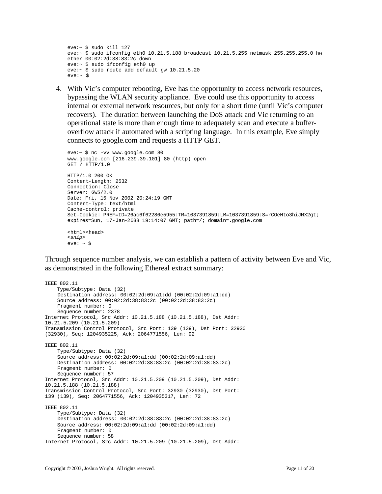```
eve:~ $ sudo kill 127
eve:\sim $ sudo if config eth0 10.21.5.188 broadcast 10.21.5.255 netmask 255.255.255.0 hw
ether 00:02:2d:38:83:2c down
eve:~ $ sudo ifconfig eth0 up
eve:~ $ sudo route add default gw 10.21.5.20
eV = : \times $
```
4. With Vic's computer rebooting, Eve has the opportunity to access network resources, bypassing the WLAN security appliance. Eve could use this opportunity to access internal or external network resources, but only for a short time (until Vic's computer recovers). The duration between launching the DoS attack and Vic returning to an operational state is more than enough time to adequately scan and execute a bufferoverflow attack if automated with a scripting language. In this example, Eve simply connects to google.com and requests a HTTP GET.

```
eve:~ $ nc -vv www.google.com 80
www.google.com [216.239.39.101] 80 (http) open
GET / HTTP/1.0
HTTP/1.0 200 OK
Content-Length: 2532
Connection: Close
Server: GWS/2.0
Date: Fri, 15 Nov 2002 20:24:19 GMT
Content-Type: text/html
Cache-control: private
Set-Cookie: PREF=ID=26ac6f62286e5955:TM=1037391859:LM=1037391859:S=rCOeHto3hiJMX2gt; 
expires=Sun, 17-Jan-2038 19:14:07 GMT; path=/; domain=.google.com
<html><head>
<snip>
eve: ~ <$
```
Through sequence number analysis, we can establish a pattern of activity between Eve and Vic, as demonstrated in the following Ethereal extract summary:

```
IEEE 802.11
     Type/Subtype: Data (32)
     Destination address: 00:02:2d:09:a1:dd (00:02:2d:09:a1:dd)
     Source address: 00:02:2d:38:83:2c (00:02:2d:38:83:2c)
     Fragment number: 0
    Sequence number: 2378
Internet Protocol, Src Addr: 10.21.5.188 (10.21.5.188), Dst Addr:
10.21.5.209 (10.21.5.209)
Transmission Control Protocol, Src Port: 139 (139), Dst Port: 32930
(32930), Seq: 1204935225, Ack: 2064771556, Len: 92
IEEE 802.11
     Type/Subtype: Data (32)
     Source address: 00:02:2d:09:a1:dd (00:02:2d:09:a1:dd)
     Destination address: 00:02:2d:38:83:2c (00:02:2d:38:83:2c)
     Fragment number: 0
    Sequence number: 57
Internet Protocol, Src Addr: 10.21.5.209 (10.21.5.209), Dst Addr:
10.21.5.188 (10.21.5.188)
Transmission Control Protocol, Src Port: 32930 (32930), Dst Port:
139 (139), Seq: 2064771556, Ack: 1204935317, Len: 72
IEEE 802.11
     Type/Subtype: Data (32)
     Destination address: 00:02:2d:38:83:2c (00:02:2d:38:83:2c)
     Source address: 00:02:2d:09:a1:dd (00:02:2d:09:a1:dd)
     Fragment number: 0
    Sequence number: 58
Internet Protocol, Src Addr: 10.21.5.209 (10.21.5.209), Dst Addr:
```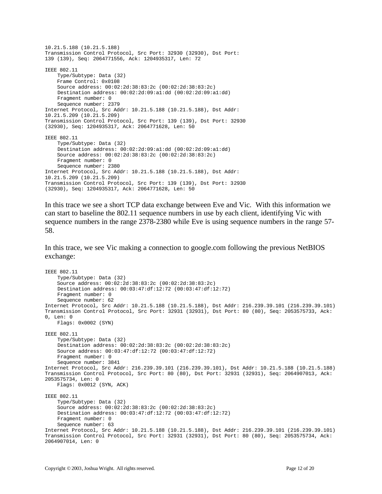```
10.21.5.188 (10.21.5.188)
Transmission Control Protocol, Src Port: 32930 (32930), Dst Port:
139 (139), Seq: 2064771556, Ack: 1204935317, Len: 72
IEEE 802.11
     Type/Subtype: Data (32)
    Frame Control: 0x0108
    Source address: 00:02:2d:38:83:2c (00:02:2d:38:83:2c)
     Destination address: 00:02:2d:09:a1:dd (00:02:2d:09:a1:dd)
     Fragment number: 0
    Sequence number: 2379
Internet Protocol, Src Addr: 10.21.5.188 (10.21.5.188), Dst Addr:
10.21.5.209 (10.21.5.209)
Transmission Control Protocol, Src Port: 139 (139), Dst Port: 32930
(32930), Seq: 1204935317, Ack: 2064771628, Len: 50
IEEE 802.11
     Type/Subtype: Data (32)
     Destination address: 00:02:2d:09:a1:dd (00:02:2d:09:a1:dd)
     Source address: 00:02:2d:38:83:2c (00:02:2d:38:83:2c)
     Fragment number: 0
     Sequence number: 2380
Internet Protocol, Src Addr: 10.21.5.188 (10.21.5.188), Dst Addr:
10.21.5.209 (10.21.5.209)
Transmission Control Protocol, Src Port: 139 (139), Dst Port: 32930
(32930), Seq: 1204935317, Ack: 2064771628, Len: 50
```
In this trace we see a short TCP data exchange between Eve and Vic. With this information we can start to baseline the 802.11 sequence numbers in use by each client, identifying Vic with sequence numbers in the range 2378-2380 while Eve is using sequence numbers in the range 57- 58.

In this trace, we see Vic making a connection to google.com following the previous NetBIOS exchange:

```
IEEE 802.11
     Type/Subtype: Data (32)
     Source address: 00:02:2d:38:83:2c (00:02:2d:38:83:2c)
     Destination address: 00:03:47:df:12:72 (00:03:47:df:12:72)
     Fragment number: 0
     Sequence number: 62
Internet Protocol, Src Addr: 10.21.5.188 (10.21.5.188), Dst Addr: 216.239.39.101 (216.239.39.101)
Transmission Control Protocol, Src Port: 32931 (32931), Dst Port: 80 (80), Seq: 2053575733, Ack: 
0, Len: 0
    Flags: 0x0002 (SYN)
IEEE 802.11
     Type/Subtype: Data (32)
     Destination address: 00:02:2d:38:83:2c (00:02:2d:38:83:2c)
     Source address: 00:03:47:df:12:72 (00:03:47:df:12:72)
     Fragment number: 0
     Sequence number: 3841
Internet Protocol, Src Addr: 216.239.39.101 (216.239.39.101), Dst Addr: 10.21.5.188 (10.21.5.188)
Transmission Control Protocol, Src Port: 80 (80), Dst Port: 32931 (32931), Seq: 2064907013, Ack: 
2053575734, Len: 0
    Flags: 0x0012 (SYN, ACK)
IEEE 802.11
     Type/Subtype: Data (32)
     Source address: 00:02:2d:38:83:2c (00:02:2d:38:83:2c)
     Destination address: 00:03:47:df:12:72 (00:03:47:df:12:72)
     Fragment number: 0
     Sequence number: 63
Internet Protocol, Src Addr: 10.21.5.188 (10.21.5.188), Dst Addr: 216.239.39.101 (216.239.39.101)
Transmission Control Protocol, Src Port: 32931 (32931), Dst Port: 80 (80), Seq: 2053575734, Ack: 
2064907014, Len: 0
```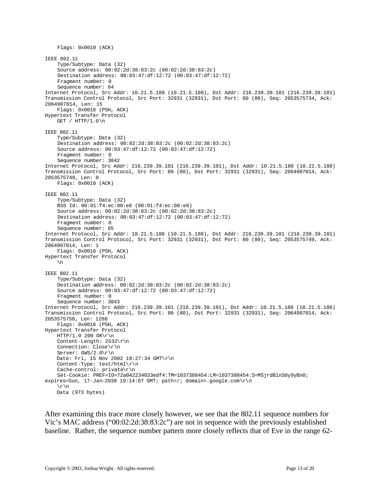```
 Flags: 0x0010 (ACK)
IEEE 802.11
     Type/Subtype: Data (32)
     Source address: 00:02:2d:38:83:2c (00:02:2d:38:83:2c)
     Destination address: 00:03:47:df:12:72 (00:03:47:df:12:72)
     Fragment number: 0
     Sequence number: 64
Internet Protocol, Src Addr: 10.21.5.188 (10.21.5.188), Dst Addr: 216.239.39.101 (216.239.39.101)
Transmission Control Protocol, Src Port: 32931 (32931), Dst Port: 80 (80), Seq: 2053575734, Ack: 
2064907014, Len: 15
     Flags: 0x0018 (PSH, ACK)
Hypertext Transfer Protocol
   GET / HTTP/1.0 \n\piIEEE 802.11
     Type/Subtype: Data (32)
     Destination address: 00:02:2d:38:83:2c (00:02:2d:38:83:2c)
     Source address: 00:03:47:df:12:72 (00:03:47:df:12:72)
     Fragment number: 0
     Sequence number: 3842
Internet Protocol, Src Addr: 216.239.39.101 (216.239.39.101), Dst Addr: 10.21.5.188 (10.21.5.188)
Transmission Control Protocol, Src Port: 80 (80), Dst Port: 32931 (32931), Seq: 2064907014, Ack: 
2053575749, Len: 0
    Flags: 0x0010 (ACK)
IEEE 802.11
     Type/Subtype: Data (32)
     BSS Id: 00:01:f4:ec:08:e8 (00:01:f4:ec:08:e8)
     Source address: 00:02:2d:38:83:2c (00:02:2d:38:83:2c)
     Destination address: 00:03:47:df:12:72 (00:03:47:df:12:72)
     Fragment number: 0
     Sequence number: 65
Internet Protocol, Src Addr: 10.21.5.188 (10.21.5.188), Dst Addr: 216.239.39.101 (216.239.39.101)
Transmission Control Protocol, Src Port: 32931 (32931), Dst Port: 80 (80), Seq: 2053575749, Ack: 
2064907014, Len: 1
    Flags: 0x0018 (PSH, ACK)
Hypertext Transfer Protocol
     \n
IEEE 802.11
     Type/Subtype: Data (32)
     Destination address: 00:02:2d:38:83:2c (00:02:2d:38:83:2c)
     Source address: 00:03:47:df:12:72 (00:03:47:df:12:72)
     Fragment number: 0
     Sequence number: 3843
Internet Protocol, Src Addr: 216.239.39.101 (216.239.39.101), Dst Addr: 10.21.5.188 (10.21.5.188)
Transmission Control Protocol, Src Port: 80 (80), Dst Port: 32931 (32931), Seq: 2064907014, Ack: 
2053575750, Len: 1288
    Flags: 0x0018 (PSH, ACK)
Hypertext Transfer Protocol
    HTTP/1.0 200 OK\r\n
    Content-Length: 2532\r\n
     Connection: Close\r\n
     Server: GWS/2.0\r\n
     Date: Fri, 15 Nov 2002 19:27:34 GMT\r\n
    Content-Type: text/html\r\n
     Cache-control: private\r\n
     Set-Cookie: PREF=ID=72a042234033edf4:TM=1037388454:LM=1037388454:S=MSjrdBlnS0y9yBn0; 
expires=Sun, 17-Jan-2038 19:14:07 GMT; path=/; domain=.google.com\r\n
     \r\n
    Data (973 bytes)
```
After examining this trace more closely however, we see that the 802.11 sequence numbers for Vic's MAC address ("00:02:2d:38:83:2c") are not in sequence with the previously established baseline. Rather, the sequence number pattern more closely reflects that of Eve in the range 62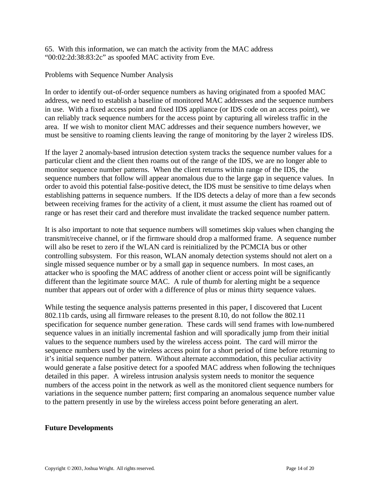65. With this information, we can match the activity from the MAC address "00:02:2d:38:83:2c" as spoofed MAC activity from Eve.

Problems with Sequence Number Analysis

In order to identify out-of-order sequence numbers as having originated from a spoofed MAC address, we need to establish a baseline of monitored MAC addresses and the sequence numbers in use. With a fixed access point and fixed IDS appliance (or IDS code on an access point), we can reliably track sequence numbers for the access point by capturing all wireless traffic in the area. If we wish to monitor client MAC addresses and their sequence numbers however, we must be sensitive to roaming clients leaving the range of monitoring by the layer 2 wireless IDS.

If the layer 2 anomaly-based intrusion detection system tracks the sequence number values for a particular client and the client then roams out of the range of the IDS, we are no longer able to monitor sequence number patterns. When the client returns within range of the IDS, the sequence numbers that follow will appear anomalous due to the large gap in sequence values. In order to avoid this potential false-positive detect, the IDS must be sensitive to time delays when establishing patterns in sequence numbers. If the IDS detects a delay of more than a few seconds between receiving frames for the activity of a client, it must assume the client has roamed out of range or has reset their card and therefore must invalidate the tracked sequence number pattern.

It is also important to note that sequence numbers will sometimes skip values when changing the transmit/receive channel, or if the firmware should drop a malformed frame. A sequence number will also be reset to zero if the WLAN card is reinitialized by the PCMCIA bus or other controlling subsystem. For this reason, WLAN anomaly detection systems should not alert on a single missed sequence number or by a small gap in sequence numbers. In most cases, an attacker who is spoofing the MAC address of another client or access point will be significantly different than the legitimate source MAC. A rule of thumb for alerting might be a sequence number that appears out of order with a difference of plus or minus thirty sequence values.

While testing the sequence analysis patterns presented in this paper, I discovered that Lucent 802.11b cards, using all firmware releases to the present 8.10, do not follow the 802.11 specification for sequence number gene ration. These cards will send frames with low-numbered sequence values in an initially incremental fashion and will sporadically jump from their initial values to the sequence numbers used by the wireless access point. The card will mirror the sequence numbers used by the wireless access point for a short period of time before returning to it's initial sequence number pattern. Without alternate accommodation, this peculiar activity would generate a false positive detect for a spoofed MAC address when following the techniques detailed in this paper. A wireless intrusion analysis system needs to monitor the sequence numbers of the access point in the network as well as the monitored client sequence numbers for variations in the sequence number pattern; first comparing an anomalous sequence number value to the pattern presently in use by the wireless access point before generating an alert.

#### **Future Developments**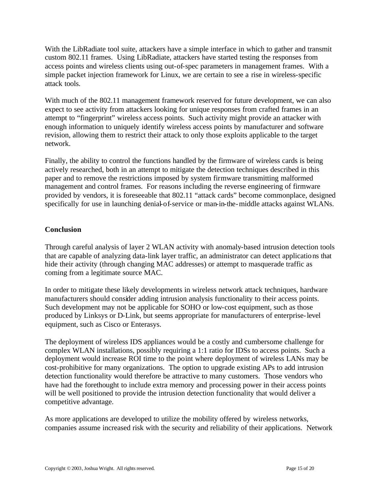With the LibRadiate tool suite, attackers have a simple interface in which to gather and transmit custom 802.11 frames. Using LibRadiate, attackers have started testing the responses from access points and wireless clients using out-of-spec parameters in management frames. With a simple packet injection framework for Linux, we are certain to see a rise in wireless-specific attack tools.

With much of the 802.11 management framework reserved for future development, we can also expect to see activity from attackers looking for unique responses from crafted frames in an attempt to "fingerprint" wireless access points. Such activity might provide an attacker with enough information to uniquely identify wireless access points by manufacturer and software revision, allowing them to restrict their attack to only those exploits applicable to the target network.

Finally, the ability to control the functions handled by the firmware of wireless cards is being actively researched, both in an attempt to mitigate the detection techniques described in this paper and to remove the restrictions imposed by system firmware transmitting malformed management and control frames. For reasons including the reverse engineering of firmware provided by vendors, it is foreseeable that 802.11 "attack cards" become commonplace, designed specifically for use in launching denial-of-service or man-in-the-middle attacks against WLANs.

# **Conclusion**

Through careful analysis of layer 2 WLAN activity with anomaly-based intrusion detection tools that are capable of analyzing data-link layer traffic, an administrator can detect applications that hide their activity (through changing MAC addresses) or attempt to masquerade traffic as coming from a legitimate source MAC.

In order to mitigate these likely developments in wireless network attack techniques, hardware manufacturers should consider adding intrusion analysis functionality to their access points. Such development may not be applicable for SOHO or low-cost equipment, such as those produced by Linksys or D-Link, but seems appropriate for manufacturers of enterprise-level equipment, such as Cisco or Enterasys.

The deployment of wireless IDS appliances would be a costly and cumbersome challenge for complex WLAN installations, possibly requiring a 1:1 ratio for IDSs to access points. Such a deployment would increase ROI time to the point where deployment of wireless LANs may be cost-prohibitive for many organizations. The option to upgrade existing APs to add intrusion detection functionality would therefore be attractive to many customers. Those vendors who have had the forethought to include extra memory and processing power in their access points will be well positioned to provide the intrusion detection functionality that would deliver a competitive advantage.

As more applications are developed to utilize the mobility offered by wireless networks, companies assume increased risk with the security and reliability of their applications. Network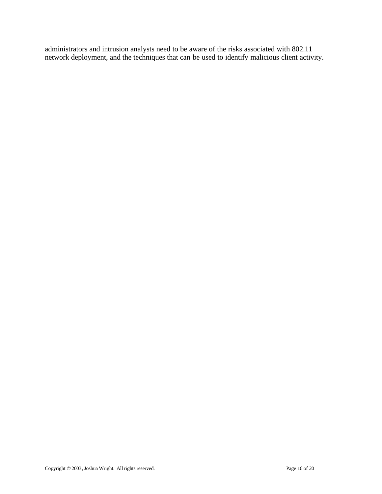administrators and intrusion analysts need to be aware of the risks associated with 802.11 network deployment, and the techniques that can be used to identify malicious client activity.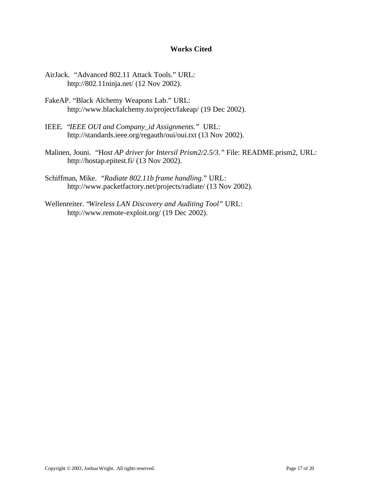#### **Works Cited**

- AirJack. "Advanced 802.11 Attack Tools." URL: http://802.11ninja.net/ (12 Nov 2002).
- FakeAP. "Black Alchemy Weapons Lab." URL: http://www.blackalchemy.to/project/fakeap/ (19 Dec 2002).
- IEEE. "*IEEE OUI and Company\_id Assignments.*" URL: http://standards.ieee.org/regauth/oui/oui.txt (13 Nov 2002).
- Malinen, Jouni. "H*ost AP driver for Intersil Prism2/2.5/3."* File: README.prism2, URL: http://hostap.epitest.fi/ (13 Nov 2002).
- Schiffman, Mike. "*Radiate 802.11b frame handling*." URL: http://www.packetfactory.net/projects/radiate/ (13 Nov 2002).
- Wellenreiter. "*Wireless LAN Discovery and Auditing Tool"* URL: http://www.remote-exploit.org/ (19 Dec 2002).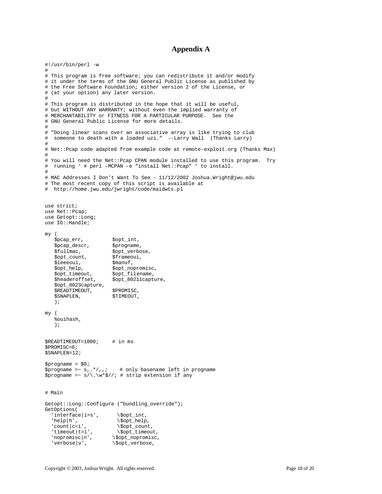#### **Appendix A**

```
#!/usr/bin/perl -w
#
# This program is free software; you can redistribute it and/or modify
# it under the terms of the GNU General Public License as published by
# the Free Software Foundation; either version 2 of the License, or
# (at your option) any later version.
#
# This program is distributed in the hope that it will be useful,
# but WITHOUT ANY WARRANTY; without even the implied warranty of
# MERCHANTABILITY or FITNESS FOR A PARTICULAR PURPOSE. See the
# GNU General Public License for more details.
#
# "Doing linear scans over an associative array is like trying to club
# someone to death with a loaded uzi." --Larry Wall (Thanks Larry)
#
# Net::Pcap code adapted from example code at remote-exploit.org (Thanks Max)
#
# You will need the Net::Pcap CPAN module installed to use this program. Try
# running ' # perl –MCPAN –e "install Net::Pcap" ' to install.
#
# MAC Addresses I Don't Want To See - 11/12/2002 Joshua.Wright@jwu.edu
# The most recent copy of this script is available at
# http://home.jwu.edu/jwright/code/maidwts.pl
use strict;
use Net::Pcap;
use Getopt::Long;
use IO::Handle;
my (
   $pcap_err, $opt_int,
   $pcap_descr,<br>$fullmac, $ppt_verbo
                        $opt_verbose,<br>$frameoui,
   $opt_count,
   $ieeeoui,<br>$opt_help, $opt_nop
   $opt_help, $opt_nopromisc,<br>$opt_timeout, $opt_filename,
                        $opt_filename,
    $headeroffset, $opt_80211capture,
    $opt_8023capture,
   $READTIMEOUT, $PROMISC,<br>$SNAPLEN, $TIMEOUT,
   $SNAPLEN,
    );
my (
    %ouihash,
    );
$READTIMEOUT=1000; # in ms
$PROMISC=0;
$SNAPLEN=12;
Sprogname = $0;$propname =~ s,.*/,,; # only basename left in progname
$progname =~ s/\backslash \sqrt{w*}\frac{s}{i} # strip extension if any
# Main
Getopt::Long::Configure ("bundling_override");
GetOptions(
  'interface|i=s', \verb|\šopt-int|,
  '\begin{array}{ccc}\n'\text{help}|h', & \text{Sopt_help}, \\
'\text{count}|c=i', & \text{Sopt_count}\n\end{array}'count|c=i',<br>'timeout|t=i', \$opt_timeou
                          \$opt_timeout,
  'nopromisc|n', \$opt_nopromisc,<br>'verbose|v', \$opt_verbose,
                       \$opt_verbose,
```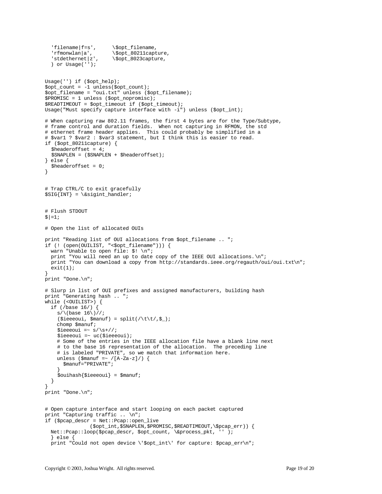```
'filename|f=s', \$opt_filename,<br>'rfmonwlan|a', \$opt_80211capt
                       \sqrt{\text{opt\_80211}}capture,
  \text{'stdethernet}|z', \$opt_8023capture,
   ) or Usage('');
Usage('') if ($opt_help);
$opt_count = -1 unless ($opt_count);$opt_filename = "oui.txt" unless ($opt_filename);
$PROMISC = 1 unless ($opt_nopromisc);
$READTIMEOUT = $opt_timeout if ($opt_timeout);
Usage("Must specify capture interface with -i") unless ($opt_int);
# When capturing raw 802.11 frames, the first 4 bytes are for the Type/Subtype,
# frame control and duration fields. When not capturing in RFMON, the std
# ethernet frame header applies. This could probably be simplified in a
# $var1 ? $var2 : $var3 statement, but I think this is easier to read.
if ($opt_80211capture) {
   $headeroffset = 4;
   $SNAPLEN = ($SNAPLEN + $headeroffset);
} else {
   $headeroffset = 0;
}
# Trap CTRL/C to exit gracefully
$SIG[INT} = \&sigint_handler;
# Flush STDOUT
$| = 1;# Open the list of allocated OUIs
print "Reading list of OUI allocations from $opt_filename .. ";
if (! (open(OUILIST, "<$opt_filename"))) {
  warn "Unable to open file: $! \n";
  print "You will need an up to date copy of the IEEE OUI allocations.\n";
 print "You can download a copy from http://standards.ieee.org/regauth/oui/oui.txt\n";
 exit(1);}
print "Done.\n";
# Slurp in list of OUI prefixes and assigned manufacturers, building hash
print "Generating hash .. ";
while (<OUILIST>) {
  if (/base 16/) {
    s/\langlebase 16\rangle//;
    (\$ieeeoui, $manuf) = split//\t\lt(0, $). chomp $manuf;
    $ieeeoui =~ s/\s+///i $ieeeoui =~ uc($ieeeoui);
     # Some of the entries in the IEEE allocation file have a blank line next
     # to the base 16 representation of the allocation. The preceding line
     # is labeled "PRIVATE", so we match that information here.
    unless ($manuf =~ /[A-Za-z]/) {
       $manuf="PRIVATE";
 }
    $ouihash$ieeeoui} = $manuf; }
}
print "Done.\n";
# Open capture interface and start looping on each packet captured
print "Capturing traffic .. \n";
if ($pcap_descr = Net::Pcap::open_live
               ($opt_int,$SNAPLEN,$PROMISC,$READTIMEOUT,\$pcap_err)) {
  Net::Pcap::loop($pcap_descr, $opt_count, \&process_pkt, '' );
   } else {
  print "Could not open device \'$opt_int\' for capture: $pcap_err\n";
```